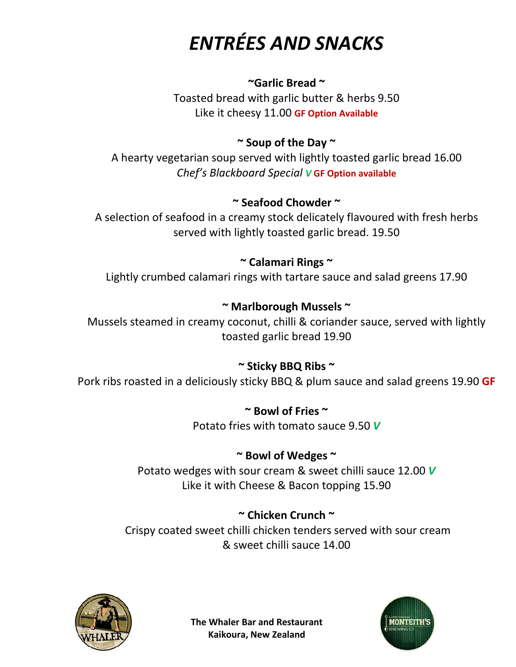# *ENTRÉES AND SNACKS*

#### **~Garlic Bread ~**

Toasted bread with garlic butter & herbs 9.50 Like it cheesy 11.00 **GF Option Available**

#### **~ Soup of the Day ~**

A hearty vegetarian soup served with lightly toasted garlic bread 16.00 *Chef's Blackboard Special V* **GF Option available**

#### **~ Seafood Chowder ~**

A selection of seafood in a creamy stock delicately flavoured with fresh herbs served with lightly toasted garlic bread. 19.50

#### **~ Calamari Rings ~**

Lightly crumbed calamari rings with tartare sauce and salad greens 17.90

#### **~ Marlborough Mussels ~**

Mussels steamed in creamy coconut, chilli & coriander sauce, served with lightly toasted garlic bread 19.90

### **~ Sticky BBQ Ribs ~**

Pork ribs roasted in a deliciously sticky BBQ & plum sauce and salad greens 19.90 **GF**

**~ Bowl of Fries ~** Potato fries with tomato sauce 9.50 *V*

#### **~ Bowl of Wedges ~**

Potato wedges with sour cream & sweet chilli sauce 12.00 *V* Like it with Cheese & Bacon topping 15.90

### **~ Chicken Crunch ~**

Crispy coated sweet chilli chicken tenders served with sour cream & sweet chilli sauce 14.00

**Kaikoura, New Zealand**



**The Whaler Bar and Restaurant**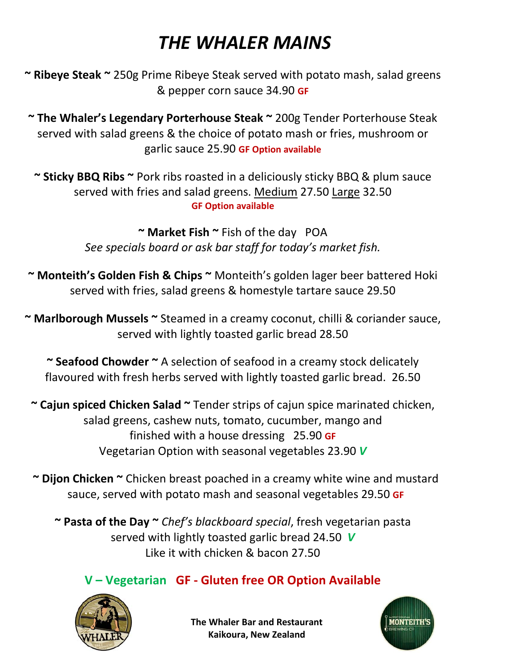## *THE WHALER MAINS*

- **~ Ribeye Steak ~** 250g Prime Ribeye Steak served with potato mash, salad greens & pepper corn sauce 34.90 **GF**
- **~ The Whaler's Legendary Porterhouse Steak ~** 200g Tender Porterhouse Steak served with salad greens & the choice of potato mash or fries, mushroom or garlic sauce 25.90 **GF Option available**
	- **~ Sticky BBQ Ribs ~** Pork ribs roasted in a deliciously sticky BBQ & plum sauce served with fries and salad greens. Medium 27.50 Large 32.50 **GF Option available**

**~ Market Fish ~** Fish of the day POA *See specials board or ask bar staff for today's market fish.*

- **~ Monteith's Golden Fish & Chips ~** Monteith's golden lager beer battered Hoki served with fries, salad greens & homestyle tartare sauce 29.50
- **~ Marlborough Mussels ~** Steamed in a creamy coconut, chilli & coriander sauce, served with lightly toasted garlic bread 28.50
	- **~ Seafood Chowder ~** A selection of seafood in a creamy stock delicately flavoured with fresh herbs served with lightly toasted garlic bread. 26.50
	- **~ Cajun spiced Chicken Salad ~** Tender strips of cajun spice marinated chicken, salad greens, cashew nuts, tomato, cucumber, mango and finished with a house dressing 25.90 **GF** Vegetarian Option with seasonal vegetables 23.90 *V*
	- **~ Dijon Chicken ~** Chicken breast poached in a creamy white wine and mustard sauce, served with potato mash and seasonal vegetables 29.50 **GF**

**~ Pasta of the Day ~** *Chef's blackboard special*, fresh vegetarian pasta served with lightly toasted garlic bread 24.50*V* Like it with chicken & bacon 27.50

### **V – Vegetarian GF - Gluten free OR Option Available**



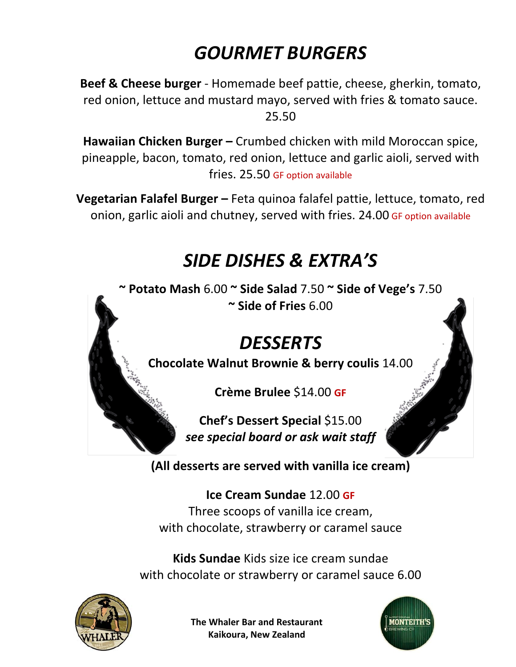# *GOURMET BURGERS*

**Beef & Cheese burger** - Homemade beef pattie, cheese, gherkin, tomato, red onion, lettuce and mustard mayo, served with fries & tomato sauce. 25.50

**Hawaiian Chicken Burger –** Crumbed chicken with mild Moroccan spice, pineapple, bacon, tomato, red onion, lettuce and garlic aioli, served with fries. 25.50 GF option available

**Vegetarian Falafel Burger –** Feta quinoa falafel pattie, lettuce, tomato, red onion, garlic aioli and chutney, served with fries. 24.00 GF option available

## *SIDE DISHES & EXTRA'S*

**~ Potato Mash** 6.00 **~ Side Salad** 7.50 **~ Side of Vege's** 7.50 **~ Side of Fries** 6.00

## *DESSERTS*

**Chocolate Walnut Brownie & berry coulis** 14.00

**Crème Brulee** \$14.00 **GF**

**Chef's Dessert Special** \$15.00 *see special board or ask wait staff* 

**(All desserts are served with vanilla ice cream)**

**Ice Cream Sundae** 12.00 **GF** Three scoops of vanilla ice cream, with chocolate, strawberry or caramel sauce

**Kids Sundae** Kids size ice cream sundae with chocolate or strawberry or caramel sauce 6.00



**The Whaler Bar and Restaurant Kaikoura, New Zealand**